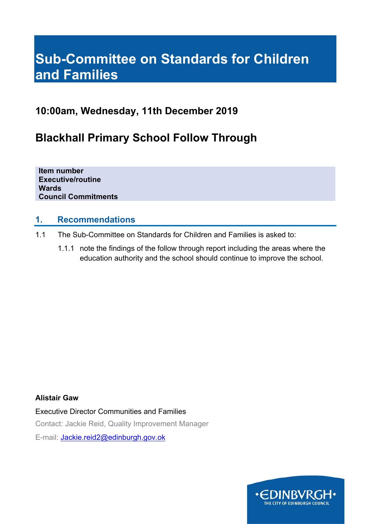# **Sub-Committee on Standards for Children and Families**

# **10:00am, Wednesday, 11th December 2019**

# **Blackhall Primary School Follow Through**

**Item number Executive/routine Wards Council Commitments** 

# **1. Recommendations**

- 1.1 The Sub-Committee on Standards for Children and Families is asked to:
	- 1.1.1 note the findings of the follow through report including the areas where the education authority and the school should continue to improve the school.

### **Alistair Gaw**

Executive Director Communities and Families Contact: Jackie Reid, Quality Improvement Manager E-mail: Jackie.reid2@edinburgh.gov.ok

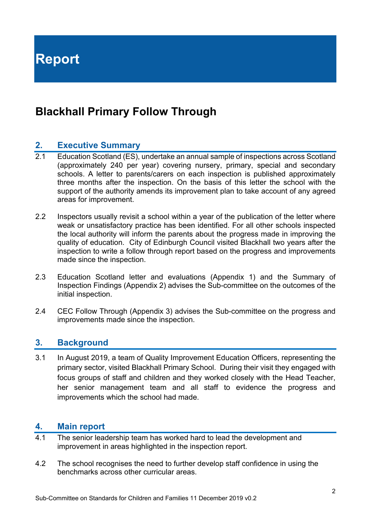**Report** 

# **Blackhall Primary Follow Through**

## **2. Executive Summary**

- 2.1 Education Scotland (ES), undertake an annual sample of inspections across Scotland (approximately 240 per year) covering nursery, primary, special and secondary schools. A letter to parents/carers on each inspection is published approximately three months after the inspection. On the basis of this letter the school with the support of the authority amends its improvement plan to take account of any agreed areas for improvement.
- 2.2 Inspectors usually revisit a school within a year of the publication of the letter where weak or unsatisfactory practice has been identified. For all other schools inspected the local authority will inform the parents about the progress made in improving the quality of education. City of Edinburgh Council visited Blackhall two years after the inspection to write a follow through report based on the progress and improvements made since the inspection.
- 2.3 Education Scotland letter and evaluations (Appendix 1) and the Summary of Inspection Findings (Appendix 2) advises the Sub-committee on the outcomes of the initial inspection.
- 2.4 CEC Follow Through (Appendix 3) advises the Sub-committee on the progress and improvements made since the inspection.

### **3. Background**

3.1 In August 2019, a team of Quality Improvement Education Officers, representing the primary sector, visited Blackhall Primary School. During their visit they engaged with focus groups of staff and children and they worked closely with the Head Teacher, her senior management team and all staff to evidence the progress and improvements which the school had made.

## **4. Main report**

- 4.1 The senior leadership team has worked hard to lead the development and improvement in areas highlighted in the inspection report.
- 4.2 The school recognises the need to further develop staff confidence in using the benchmarks across other curricular areas.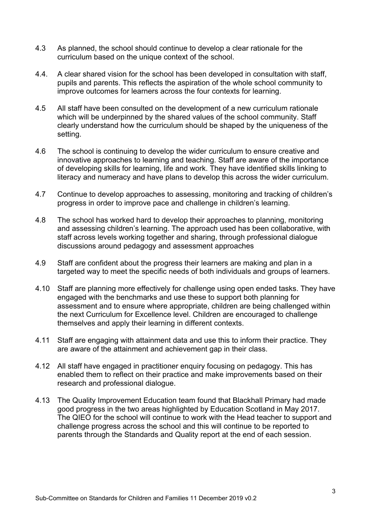- 4.3 As planned, the school should continue to develop a clear rationale for the curriculum based on the unique context of the school.
- 4.4. A clear shared vision for the school has been developed in consultation with staff, pupils and parents. This reflects the aspiration of the whole school community to improve outcomes for learners across the four contexts for learning.
- 4.5 All staff have been consulted on the development of a new curriculum rationale which will be underpinned by the shared values of the school community. Staff clearly understand how the curriculum should be shaped by the uniqueness of the setting.
- 4.6 The school is continuing to develop the wider curriculum to ensure creative and innovative approaches to learning and teaching. Staff are aware of the importance of developing skills for learning, life and work. They have identified skills linking to literacy and numeracy and have plans to develop this across the wider curriculum.
- 4.7 Continue to develop approaches to assessing, monitoring and tracking of children's progress in order to improve pace and challenge in children's learning.
- 4.8 The school has worked hard to develop their approaches to planning, monitoring and assessing children's learning. The approach used has been collaborative, with staff across levels working together and sharing, through professional dialogue discussions around pedagogy and assessment approaches
- 4.9 Staff are confident about the progress their learners are making and plan in a targeted way to meet the specific needs of both individuals and groups of learners.
- 4.10 Staff are planning more effectively for challenge using open ended tasks. They have engaged with the benchmarks and use these to support both planning for assessment and to ensure where appropriate, children are being challenged within the next Curriculum for Excellence level. Children are encouraged to challenge themselves and apply their learning in different contexts.
- 4.11 Staff are engaging with attainment data and use this to inform their practice. They are aware of the attainment and achievement gap in their class.
- 4.12 All staff have engaged in practitioner enquiry focusing on pedagogy. This has enabled them to reflect on their practice and make improvements based on their research and professional dialogue.
- 4.13 The Quality Improvement Education team found that Blackhall Primary had made good progress in the two areas highlighted by Education Scotland in May 2017. The QIEO for the school will continue to work with the Head teacher to support and challenge progress across the school and this will continue to be reported to parents through the Standards and Quality report at the end of each session.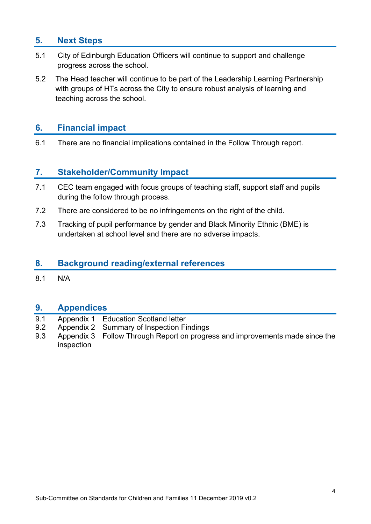# **5. Next Steps**

- 5.1 City of Edinburgh Education Officers will continue to support and challenge progress across the school.
- 5.2 The Head teacher will continue to be part of the Leadership Learning Partnership with groups of HTs across the City to ensure robust analysis of learning and teaching across the school.

## **6. Financial impact**

6.1 There are no financial implications contained in the Follow Through report.

## **7. Stakeholder/Community Impact**

- 7.1 CEC team engaged with focus groups of teaching staff, support staff and pupils during the follow through process.
- 7.2 There are considered to be no infringements on the right of the child.
- 7.3 Tracking of pupil performance by gender and Black Minority Ethnic (BME) is undertaken at school level and there are no adverse impacts.

### **8. Background reading/external references**

8.1 N/A

### **9. Appendices**

- 9.1 Appendix 1 Education Scotland letter
- 9.2 Appendix 2 Summary of Inspection Findings
- 9.3 Appendix 3 Follow Through Report on progress and improvements made since the inspection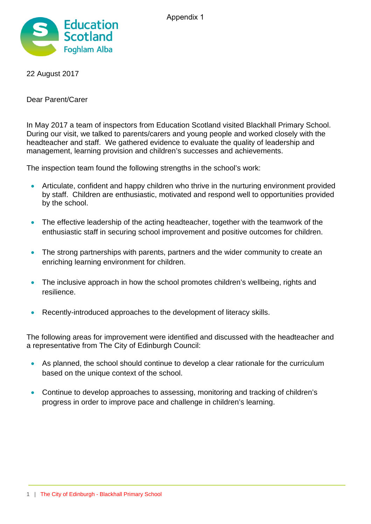

22 August 2017

Dear Parent/Carer

In May 2017 a team of inspectors from Education Scotland visited Blackhall Primary School. During our visit, we talked to parents/carers and young people and worked closely with the headteacher and staff. We gathered evidence to evaluate the quality of leadership and management, learning provision and children's successes and achievements.

The inspection team found the following strengths in the school's work:

- Articulate, confident and happy children who thrive in the nurturing environment provided by staff. Children are enthusiastic, motivated and respond well to opportunities provided by the school.
- The effective leadership of the acting headteacher, together with the teamwork of the enthusiastic staff in securing school improvement and positive outcomes for children.
- The strong partnerships with parents, partners and the wider community to create an enriching learning environment for children.
- The inclusive approach in how the school promotes children's wellbeing, rights and resilience.
- Recently-introduced approaches to the development of literacy skills.

The following areas for improvement were identified and discussed with the headteacher and a representative from The City of Edinburgh Council:

- As planned, the school should continue to develop a clear rationale for the curriculum based on the unique context of the school.
- Continue to develop approaches to assessing, monitoring and tracking of children's progress in order to improve pace and challenge in children's learning.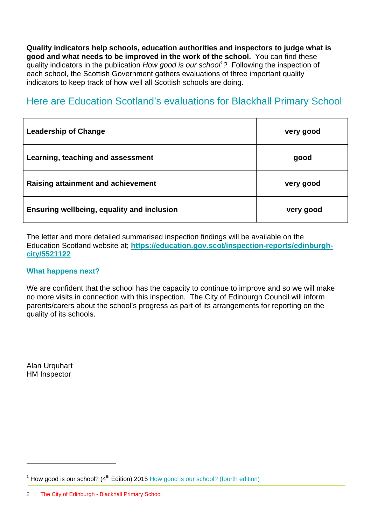**Quality indicators help schools, education authorities and inspectors to judge what is good and what needs to be improved in the work of the school.** You can find these quality indicators in the publication *How good is our school<sup>1</sup> ?* Following the inspection of each school, the Scottish Government gathers evaluations of three important quality indicators to keep track of how well all Scottish schools are doing.

# Here are Education Scotland's evaluations for Blackhall Primary School

| <b>Leadership of Change</b>                | very good |
|--------------------------------------------|-----------|
| Learning, teaching and assessment          | good      |
| <b>Raising attainment and achievement</b>  | very good |
| Ensuring wellbeing, equality and inclusion | very good |

The letter and more detailed summarised inspection findings will be available on the Education Scotland website at; **https://education.gov.scot/inspection-reports/edinburghcity/5521122**

### **What happens next?**

We are confident that the school has the capacity to continue to improve and so we will make no more visits in connection with this inspection. The City of Edinburgh Council will inform parents/carers about the school's progress as part of its arrangements for reporting on the quality of its schools.

**Alan Urquhart** HM Inspector

 $\overline{a}$ 

<sup>&</sup>lt;sup>1</sup> How good is our school? ( $4<sup>th</sup>$  Edition) 2015 How good is our school? (fourth edition)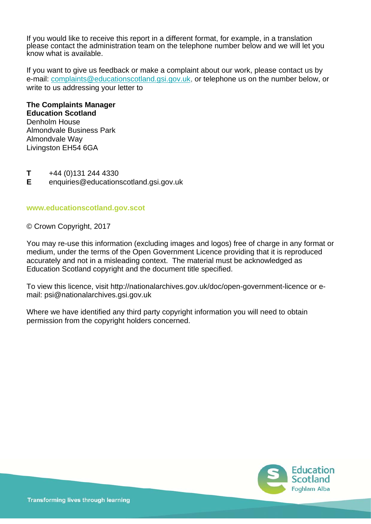If you would like to receive this report in a different format, for example, in a translation please contact the administration team on the telephone number below and we will let you know what is available.

If you want to give us feedback or make a complaint about our work, please contact us by e-mail: complaints@educationscotland.gsi.gov.uk, or telephone us on the number below, or write to us addressing your letter to

#### **The Complaints Manager Education Scotland**

Denholm House Almondvale Business Park Almondvale Way Livingston EH54 6GA

**T** +44 (0)131 244 4330

**E** enquiries@educationscotland.gsi.gov.uk

#### **www.educationscotland.gov.scot**

© Crown Copyright, 2017

You may re-use this information (excluding images and logos) free of charge in any format or medium, under the terms of the Open Government Licence providing that it is reproduced accurately and not in a misleading context. The material must be acknowledged as Education Scotland copyright and the document title specified.

To view this licence, visit http://nationalarchives.gov.uk/doc/open-government-licence or email: psi@nationalarchives.gsi.gov.uk

Where we have identified any third party copyright information you will need to obtain permission from the copyright holders concerned.

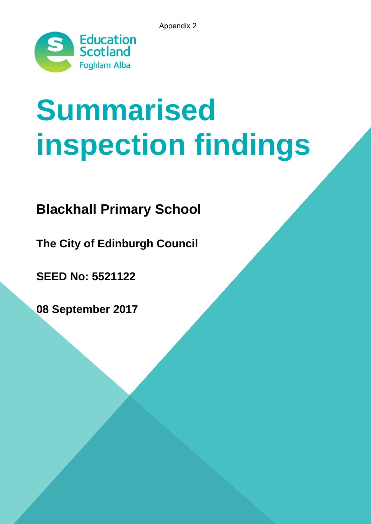Appendix 2



# **Summaris ins spe ect tio 2**<br>**2**<br>**2**<br>**2**<br>**2**<br>**2**<br>**2**<br>**2**<br>**2**<br>**7** sed<br>n findings

# **Blackhall Primary School**

**The City of Edinburgh Council** 

**SEED No: 55 521122**

**08 Sep ptembe er 2017**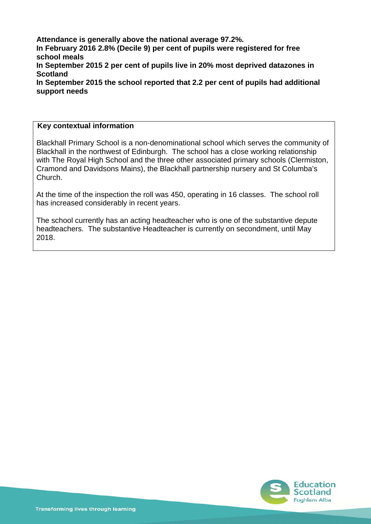**Attendance is generally above the national average 97.2%. In February 2016 2.8% (Decile 9) per cent of pupils were registered for free school meals In September 2015 2 per cent of pupils live in 20% most deprived datazones in Scotland In September 2015 the school reported that 2.2 per cent of pupils had additional support needs** 

#### **Key contextual information**

Blackhall Primary School is a non-denominational school which serves the community of Blackhall in the northwest of Edinburgh. The school has a close working relationship with The Royal High School and the three other associated primary schools (Clermiston, Cramond and Davidsons Mains), the Blackhall partnership nursery and St Columba's Church.

At the time of the inspection the roll was 450, operating in 16 classes. The school roll has increased considerably in recent years.

The school currently has an acting headteacher who is one of the substantive depute headteachers. The substantive Headteacher is currently on secondment, until May 2018.

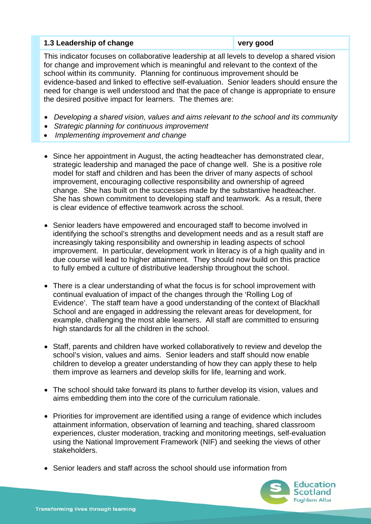#### **1.3 Leadership of change very good very good**

This indicator focuses on collaborative leadership at all levels to develop a shared vision for change and improvement which is meaningful and relevant to the context of the school within its community. Planning for continuous improvement should be evidence-based and linked to effective self-evaluation. Senior leaders should ensure the need for change is well understood and that the pace of change is appropriate to ensure the desired positive impact for learners. The themes are:

- *Developing a shared vision, values and aims relevant to the school and its community*
- *Strategic planning for continuous improvement*
- *Implementing improvement and change*
- Since her appointment in August, the acting headteacher has demonstrated clear, strategic leadership and managed the pace of change well. She is a positive role model for staff and children and has been the driver of many aspects of school improvement, encouraging collective responsibility and ownership of agreed change. She has built on the successes made by the substantive headteacher. She has shown commitment to developing staff and teamwork. As a result, there is clear evidence of effective teamwork across the school.
- Senior leaders have empowered and encouraged staff to become involved in identifying the school's strengths and development needs and as a result staff are increasingly taking responsibility and ownership in leading aspects of school improvement. In particular, development work in literacy is of a high quality and in due course will lead to higher attainment. They should now build on this practice to fully embed a culture of distributive leadership throughout the school.
- There is a clear understanding of what the focus is for school improvement with continual evaluation of impact of the changes through the 'Rolling Log of Evidence'. The staff team have a good understanding of the context of Blackhall School and are engaged in addressing the relevant areas for development, for example, challenging the most able learners. All staff are committed to ensuring high standards for all the children in the school.
- Staff, parents and children have worked collaboratively to review and develop the school's vision, values and aims. Senior leaders and staff should now enable children to develop a greater understanding of how they can apply these to help them improve as learners and develop skills for life, learning and work.
- The school should take forward its plans to further develop its vision, values and aims embedding them into the core of the curriculum rationale.
- Priorities for improvement are identified using a range of evidence which includes attainment information, observation of learning and teaching, shared classroom experiences, cluster moderation, tracking and monitoring meetings, self-evaluation using the National Improvement Framework (NIF) and seeking the views of other stakeholders.
- Senior leaders and staff across the school should use information from

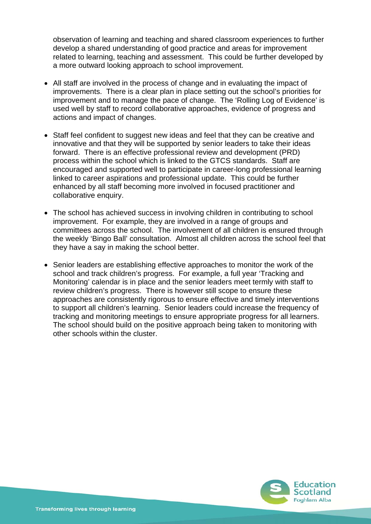observation of learning and teaching and shared classroom experiences to further develop a shared understanding of good practice and areas for improvement related to learning, teaching and assessment. This could be further developed by a more outward looking approach to school improvement.

- All staff are involved in the process of change and in evaluating the impact of improvements. There is a clear plan in place setting out the school's priorities for improvement and to manage the pace of change. The 'Rolling Log of Evidence' is used well by staff to record collaborative approaches, evidence of progress and actions and impact of changes.
- Staff feel confident to suggest new ideas and feel that they can be creative and innovative and that they will be supported by senior leaders to take their ideas forward. There is an effective professional review and development (PRD) process within the school which is linked to the GTCS standards. Staff are encouraged and supported well to participate in career-long professional learning linked to career aspirations and professional update. This could be further enhanced by all staff becoming more involved in focused practitioner and collaborative enquiry.
- The school has achieved success in involving children in contributing to school improvement. For example, they are involved in a range of groups and committees across the school. The involvement of all children is ensured through the weekly 'Bingo Ball' consultation. Almost all children across the school feel that they have a say in making the school better.
- Senior leaders are establishing effective approaches to monitor the work of the school and track children's progress. For example, a full year 'Tracking and Monitoring' calendar is in place and the senior leaders meet termly with staff to review children's progress. There is however still scope to ensure these approaches are consistently rigorous to ensure effective and timely interventions to support all children's learning. Senior leaders could increase the frequency of tracking and monitoring meetings to ensure appropriate progress for all learners. The school should build on the positive approach being taken to monitoring with other schools within the cluster.

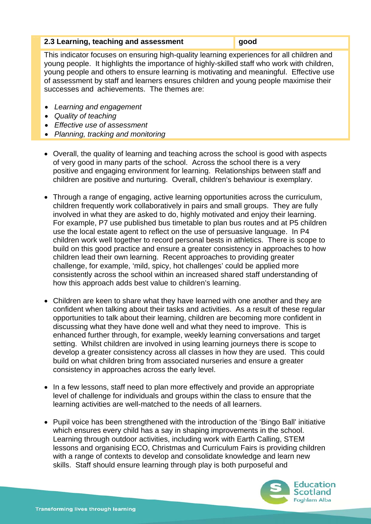#### **2.3 Learning, teaching and assessment good**

This indicator focuses on ensuring high-quality learning experiences for all children and young people. It highlights the importance of highly-skilled staff who work with children, young people and others to ensure learning is motivating and meaningful. Effective use of assessment by staff and learners ensures children and young people maximise their successes and achievements. The themes are:

- *Learning and engagement*
- *Quality of teaching*
- *Effective use of assessment*
- *Planning, tracking and monitoring*
- Overall, the quality of learning and teaching across the school is good with aspects of very good in many parts of the school. Across the school there is a very positive and engaging environment for learning. Relationships between staff and children are positive and nurturing. Overall, children's behaviour is exemplary.
- Through a range of engaging, active learning opportunities across the curriculum, children frequently work collaboratively in pairs and small groups. They are fully involved in what they are asked to do, highly motivated and enjoy their learning. For example, P7 use published bus timetable to plan bus routes and at P5 children use the local estate agent to reflect on the use of persuasive language. In P4 children work well together to record personal bests in athletics. There is scope to build on this good practice and ensure a greater consistency in approaches to how children lead their own learning. Recent approaches to providing greater challenge, for example, 'mild, spicy, hot challenges' could be applied more consistently across the school within an increased shared staff understanding of how this approach adds best value to children's learning.
- Children are keen to share what they have learned with one another and they are confident when talking about their tasks and activities. As a result of these regular opportunities to talk about their learning, children are becoming more confident in discussing what they have done well and what they need to improve. This is enhanced further through, for example, weekly learning conversations and target setting. Whilst children are involved in using learning journeys there is scope to develop a greater consistency across all classes in how they are used. This could build on what children bring from associated nurseries and ensure a greater consistency in approaches across the early level.
- In a few lessons, staff need to plan more effectively and provide an appropriate level of challenge for individuals and groups within the class to ensure that the learning activities are well-matched to the needs of all learners.
- Pupil voice has been strengthened with the introduction of the 'Bingo Ball' initiative which ensures every child has a say in shaping improvements in the school. Learning through outdoor activities, including work with Earth Calling, STEM lessons and organising ECO, Christmas and Curriculum Fairs is providing children with a range of contexts to develop and consolidate knowledge and learn new skills. Staff should ensure learning through play is both purposeful and

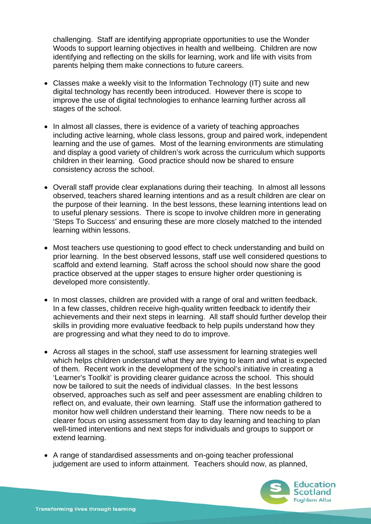challenging. Staff are identifying appropriate opportunities to use the Wonder Woods to support learning objectives in health and wellbeing. Children are now identifying and reflecting on the skills for learning, work and life with visits from parents helping them make connections to future careers.

- Classes make a weekly visit to the Information Technology (IT) suite and new digital technology has recently been introduced. However there is scope to improve the use of digital technologies to enhance learning further across all stages of the school.
- In almost all classes, there is evidence of a variety of teaching approaches including active learning, whole class lessons, group and paired work, independent learning and the use of games. Most of the learning environments are stimulating and display a good variety of children's work across the curriculum which supports children in their learning. Good practice should now be shared to ensure consistency across the school.
- Overall staff provide clear explanations during their teaching. In almost all lessons observed, teachers shared learning intentions and as a result children are clear on the purpose of their learning. In the best lessons, these learning intentions lead on to useful plenary sessions. There is scope to involve children more in generating 'Steps To Success' and ensuring these are more closely matched to the intended learning within lessons.
- Most teachers use questioning to good effect to check understanding and build on prior learning. In the best observed lessons, staff use well considered questions to scaffold and extend learning. Staff across the school should now share the good practice observed at the upper stages to ensure higher order questioning is developed more consistently.
- In most classes, children are provided with a range of oral and written feedback. In a few classes, children receive high-quality written feedback to identify their achievements and their next steps in learning. All staff should further develop their skills in providing more evaluative feedback to help pupils understand how they are progressing and what they need to do to improve.
- Across all stages in the school, staff use assessment for learning strategies well which helps children understand what they are trying to learn and what is expected of them. Recent work in the development of the school's initiative in creating a 'Learner's Toolkit' is providing clearer guidance across the school. This should now be tailored to suit the needs of individual classes. In the best lessons observed, approaches such as self and peer assessment are enabling children to reflect on, and evaluate, their own learning. Staff use the information gathered to monitor how well children understand their learning. There now needs to be a clearer focus on using assessment from day to day learning and teaching to plan well-timed interventions and next steps for individuals and groups to support or extend learning.
- A range of standardised assessments and on-going teacher professional judgement are used to inform attainment. Teachers should now, as planned,

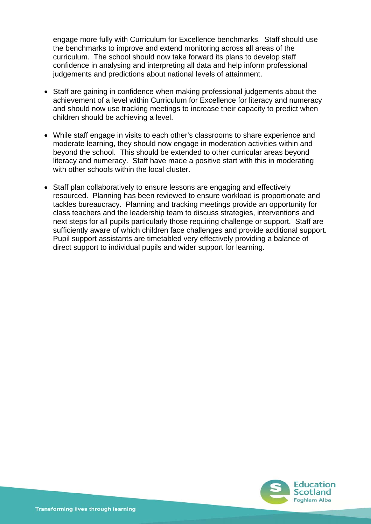engage more fully with Curriculum for Excellence benchmarks. Staff should use the benchmarks to improve and extend monitoring across all areas of the curriculum. The school should now take forward its plans to develop staff confidence in analysing and interpreting all data and help inform professional judgements and predictions about national levels of attainment.

- Staff are gaining in confidence when making professional judgements about the achievement of a level within Curriculum for Excellence for literacy and numeracy and should now use tracking meetings to increase their capacity to predict when children should be achieving a level.
- While staff engage in visits to each other's classrooms to share experience and moderate learning, they should now engage in moderation activities within and beyond the school. This should be extended to other curricular areas beyond literacy and numeracy. Staff have made a positive start with this in moderating with other schools within the local cluster.
- Staff plan collaboratively to ensure lessons are engaging and effectively resourced. Planning has been reviewed to ensure workload is proportionate and tackles bureaucracy. Planning and tracking meetings provide an opportunity for class teachers and the leadership team to discuss strategies, interventions and next steps for all pupils particularly those requiring challenge or support. Staff are sufficiently aware of which children face challenges and provide additional support. Pupil support assistants are timetabled very effectively providing a balance of direct support to individual pupils and wider support for learning.

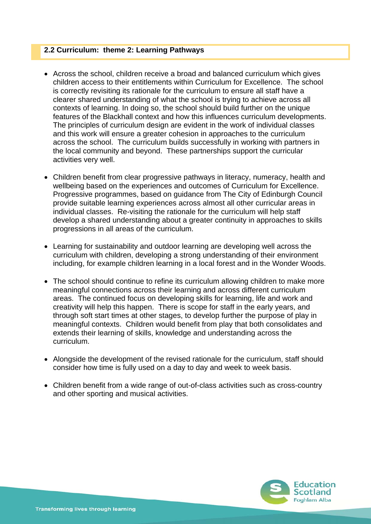#### **2.2 Curriculum: theme 2: Learning Pathways**

- Across the school, children receive a broad and balanced curriculum which gives children access to their entitlements within Curriculum for Excellence. The school is correctly revisiting its rationale for the curriculum to ensure all staff have a clearer shared understanding of what the school is trying to achieve across all contexts of learning. In doing so, the school should build further on the unique features of the Blackhall context and how this influences curriculum developments. The principles of curriculum design are evident in the work of individual classes and this work will ensure a greater cohesion in approaches to the curriculum across the school. The curriculum builds successfully in working with partners in the local community and beyond. These partnerships support the curricular activities very well.
- Children benefit from clear progressive pathways in literacy, numeracy, health and wellbeing based on the experiences and outcomes of Curriculum for Excellence. Progressive programmes, based on guidance from The City of Edinburgh Council provide suitable learning experiences across almost all other curricular areas in individual classes. Re-visiting the rationale for the curriculum will help staff develop a shared understanding about a greater continuity in approaches to skills progressions in all areas of the curriculum.
- Learning for sustainability and outdoor learning are developing well across the curriculum with children, developing a strong understanding of their environment including, for example children learning in a local forest and in the Wonder Woods.
- The school should continue to refine its curriculum allowing children to make more meaningful connections across their learning and across different curriculum areas. The continued focus on developing skills for learning, life and work and creativity will help this happen. There is scope for staff in the early years, and through soft start times at other stages, to develop further the purpose of play in meaningful contexts. Children would benefit from play that both consolidates and extends their learning of skills, knowledge and understanding across the curriculum.
- Alongside the development of the revised rationale for the curriculum, staff should consider how time is fully used on a day to day and week to week basis.
- Children benefit from a wide range of out-of-class activities such as cross-country and other sporting and musical activities.

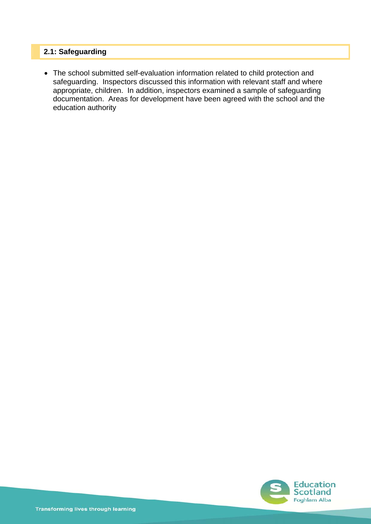## **2.1: Safeguarding**

 The school submitted self-evaluation information related to child protection and safeguarding. Inspectors discussed this information with relevant staff and where appropriate, children. In addition, inspectors examined a sample of safeguarding documentation. Areas for development have been agreed with the school and the education authority

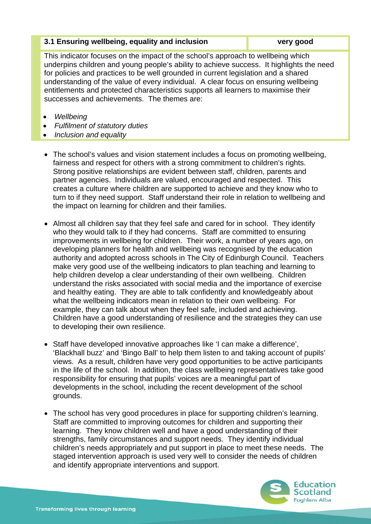| 3.1 Ensuring wellbeing, equality and inclusion | very good |
|------------------------------------------------|-----------|
|                                                |           |

This indicator focuses on the impact of the school's approach to wellbeing which underpins children and young people's ability to achieve success. It highlights the need for policies and practices to be well grounded in current legislation and a shared understanding of the value of every individual. A clear focus on ensuring wellbeing entitlements and protected characteristics supports all learners to maximise their successes and achievements. The themes are:

- *Wellbeing*
- *Fulfilment of statutory duties*
- *Inclusion and equality*
- The school's values and vision statement includes a focus on promoting wellbeing, fairness and respect for others with a strong commitment to children's rights. Strong positive relationships are evident between staff, children, parents and partner agencies. Individuals are valued, encouraged and respected. This creates a culture where children are supported to achieve and they know who to turn to if they need support. Staff understand their role in relation to wellbeing and the impact on learning for children and their families.
- Almost all children say that they feel safe and cared for in school. They identify who they would talk to if they had concerns. Staff are committed to ensuring improvements in wellbeing for children. Their work, a number of years ago, on developing planners for health and wellbeing was recognised by the education authority and adopted across schools in The City of Edinburgh Council. Teachers make very good use of the wellbeing indicators to plan teaching and learning to help children develop a clear understanding of their own wellbeing. Children understand the risks associated with social media and the importance of exercise and healthy eating. They are able to talk confidently and knowledgeably about what the wellbeing indicators mean in relation to their own wellbeing. For example, they can talk about when they feel safe, included and achieving. Children have a good understanding of resilience and the strategies they can use to developing their own resilience.
- Staff have developed innovative approaches like 'I can make a difference', 'Blackhall buzz' and 'Bingo Ball' to help them listen to and taking account of pupils' views. As a result, children have very good opportunities to be active participants in the life of the school. In addition, the class wellbeing representatives take good responsibility for ensuring that pupils' voices are a meaningful part of developments in the school, including the recent development of the school grounds.
- The school has very good procedures in place for supporting children's learning. Staff are committed to improving outcomes for children and supporting their learning. They know children well and have a good understanding of their strengths, family circumstances and support needs. They identify individual children's needs appropriately and put support in place to meet these needs. The staged intervention approach is used very well to consider the needs of children and identify appropriate interventions and support.

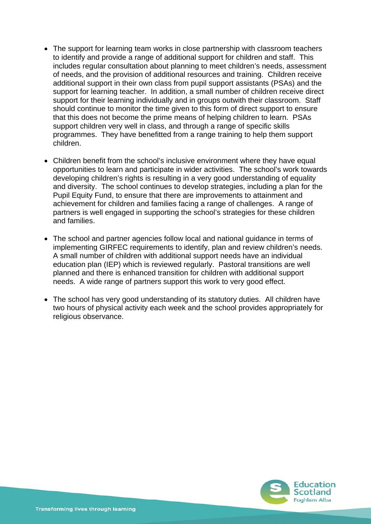- The support for learning team works in close partnership with classroom teachers to identify and provide a range of additional support for children and staff. This includes regular consultation about planning to meet children's needs, assessment of needs, and the provision of additional resources and training. Children receive additional support in their own class from pupil support assistants (PSAs) and the support for learning teacher. In addition, a small number of children receive direct support for their learning individually and in groups outwith their classroom. Staff should continue to monitor the time given to this form of direct support to ensure that this does not become the prime means of helping children to learn. PSAs support children very well in class, and through a range of specific skills programmes. They have benefitted from a range training to help them support children.
- Children benefit from the school's inclusive environment where they have equal opportunities to learn and participate in wider activities. The school's work towards developing children's rights is resulting in a very good understanding of equality and diversity. The school continues to develop strategies, including a plan for the Pupil Equity Fund, to ensure that there are improvements to attainment and achievement for children and families facing a range of challenges. A range of partners is well engaged in supporting the school's strategies for these children and families.
- The school and partner agencies follow local and national guidance in terms of implementing GIRFEC requirements to identify, plan and review children's needs. A small number of children with additional support needs have an individual education plan (IEP) which is reviewed regularly. Pastoral transitions are well planned and there is enhanced transition for children with additional support needs. A wide range of partners support this work to very good effect.
- The school has very good understanding of its statutory duties. All children have two hours of physical activity each week and the school provides appropriately for religious observance.

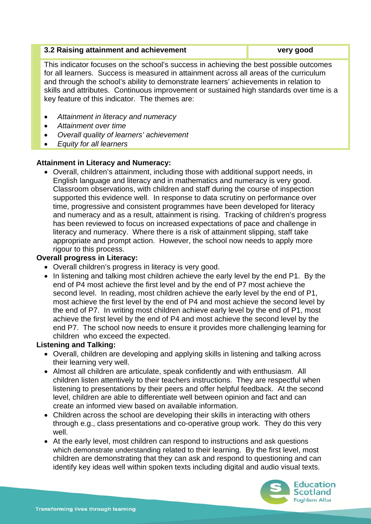#### **3.2 Raising attainment and achievement in the same very good very good**

This indicator focuses on the school's success in achieving the best possible outcomes for all learners. Success is measured in attainment across all areas of the curriculum and through the school's ability to demonstrate learners' achievements in relation to skills and attributes. Continuous improvement or sustained high standards over time is a key feature of this indicator. The themes are:

- *Attainment in literacy and numeracy*
- *Attainment over time*
- *Overall quality of learners' achievement*
- *Equity for all learners*

#### **Attainment in Literacy and Numeracy:**

 Overall, children's attainment, including those with additional support needs, in English language and literacy and in mathematics and numeracy is very good. Classroom observations, with children and staff during the course of inspection supported this evidence well. In response to data scrutiny on performance over time, progressive and consistent programmes have been developed for literacy and numeracy and as a result, attainment is rising. Tracking of children's progress has been reviewed to focus on increased expectations of pace and challenge in literacy and numeracy. Where there is a risk of attainment slipping, staff take appropriate and prompt action. However, the school now needs to apply more rigour to this process.

#### **Overall progress in Literacy:**

- Overall children's progress in literacy is very good.
- In listening and talking most children achieve the early level by the end P1. By the end of P4 most achieve the first level and by the end of P7 most achieve the second level. In reading, most children achieve the early level by the end of P1, most achieve the first level by the end of P4 and most achieve the second level by the end of P7. In writing most children achieve early level by the end of P1, most achieve the first level by the end of P4 and most achieve the second level by the end P7. The school now needs to ensure it provides more challenging learning for children who exceed the expected.

#### **Listening and Talking:**

- Overall, children are developing and applying skills in listening and talking across their learning very well.
- Almost all children are articulate, speak confidently and with enthusiasm. All children listen attentively to their teachers instructions. They are respectful when listening to presentations by their peers and offer helpful feedback. At the second level, children are able to differentiate well between opinion and fact and can create an informed view based on available information.
- Children across the school are developing their skills in interacting with others through e.g., class presentations and co-operative group work. They do this very well.
- At the early level, most children can respond to instructions and ask questions which demonstrate understanding related to their learning. By the first level, most children are demonstrating that they can ask and respond to questioning and can identify key ideas well within spoken texts including digital and audio visual texts.

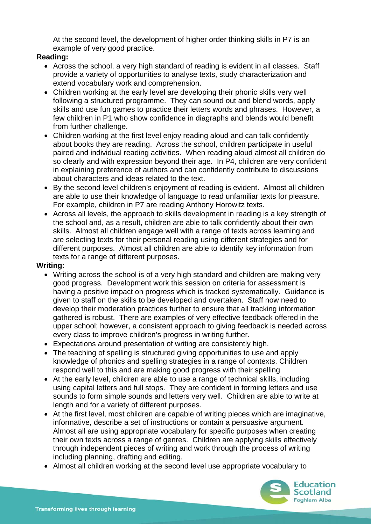At the second level, the development of higher order thinking skills in P7 is an example of very good practice.

### **Reading:**

- Across the school, a very high standard of reading is evident in all classes. Staff provide a variety of opportunities to analyse texts, study characterization and extend vocabulary work and comprehension.
- Children working at the early level are developing their phonic skills very well following a structured programme. They can sound out and blend words, apply skills and use fun games to practice their letters words and phrases. However, a few children in P1 who show confidence in diagraphs and blends would benefit from further challenge.
- Children working at the first level enjoy reading aloud and can talk confidently about books they are reading. Across the school, children participate in useful paired and individual reading activities. When reading aloud almost all children do so clearly and with expression beyond their age. In P4, children are very confident in explaining preference of authors and can confidently contribute to discussions about characters and ideas related to the text.
- By the second level children's enjoyment of reading is evident. Almost all children are able to use their knowledge of language to read unfamiliar texts for pleasure. For example, children in P7 are reading Anthony Horowitz texts.
- Across all levels, the approach to skills development in reading is a key strength of the school and, as a result, children are able to talk confidently about their own skills. Almost all children engage well with a range of texts across learning and are selecting texts for their personal reading using different strategies and for different purposes. Almost all children are able to identify key information from texts for a range of different purposes.

### **Writing:**

- Writing across the school is of a very high standard and children are making very good progress. Development work this session on criteria for assessment is having a positive impact on progress which is tracked systematically. Guidance is given to staff on the skills to be developed and overtaken. Staff now need to develop their moderation practices further to ensure that all tracking information gathered is robust. There are examples of very effective feedback offered in the upper school; however, a consistent approach to giving feedback is needed across every class to improve children's progress in writing further.
- Expectations around presentation of writing are consistently high.
- The teaching of spelling is structured giving opportunities to use and apply knowledge of phonics and spelling strategies in a range of contexts. Children respond well to this and are making good progress with their spelling
- At the early level, children are able to use a range of technical skills, including using capital letters and full stops. They are confident in forming letters and use sounds to form simple sounds and letters very well. Children are able to write at length and for a variety of different purposes.
- At the first level, most children are capable of writing pieces which are imaginative, informative, describe a set of instructions or contain a persuasive argument. Almost all are using appropriate vocabulary for specific purposes when creating their own texts across a range of genres. Children are applying skills effectively through independent pieces of writing and work through the process of writing including planning, drafting and editing.
- Almost all children working at the second level use appropriate vocabulary to

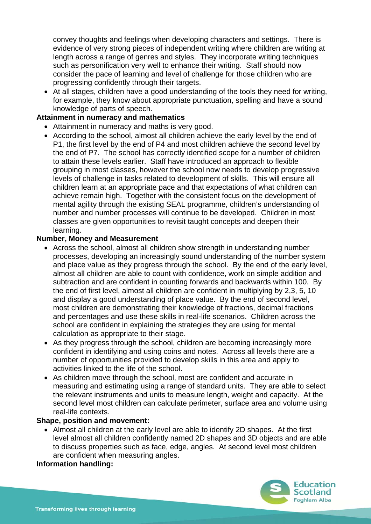convey thoughts and feelings when developing characters and settings. There is evidence of very strong pieces of independent writing where children are writing at length across a range of genres and styles. They incorporate writing techniques such as personification very well to enhance their writing. Staff should now consider the pace of learning and level of challenge for those children who are progressing confidently through their targets.

 At all stages, children have a good understanding of the tools they need for writing, for example, they know about appropriate punctuation, spelling and have a sound knowledge of parts of speech.

#### **Attainment in numeracy and mathematics**

- Attainment in numeracy and maths is very good.
- According to the school, almost all children achieve the early level by the end of P1, the first level by the end of P4 and most children achieve the second level by the end of P7. The school has correctly identified scope for a number of children to attain these levels earlier. Staff have introduced an approach to flexible grouping in most classes, however the school now needs to develop progressive levels of challenge in tasks related to development of skills. This will ensure all children learn at an appropriate pace and that expectations of what children can achieve remain high. Together with the consistent focus on the development of mental agility through the existing SEAL programme, children's understanding of number and number processes will continue to be developed. Children in most classes are given opportunities to revisit taught concepts and deepen their learning.

#### **Number, Money and Measurement**

- Across the school, almost all children show strength in understanding number processes, developing an increasingly sound understanding of the number system and place value as they progress through the school. By the end of the early level, almost all children are able to count with confidence, work on simple addition and subtraction and are confident in counting forwards and backwards within 100. By the end of first level, almost all children are confident in multiplying by 2,3, 5, 10 and display a good understanding of place value. By the end of second level, most children are demonstrating their knowledge of fractions, decimal fractions and percentages and use these skills in real-life scenarios. Children across the school are confident in explaining the strategies they are using for mental calculation as appropriate to their stage.
- As they progress through the school, children are becoming increasingly more confident in identifying and using coins and notes. Across all levels there are a number of opportunities provided to develop skills in this area and apply to activities linked to the life of the school.
- As children move through the school, most are confident and accurate in measuring and estimating using a range of standard units. They are able to select the relevant instruments and units to measure length, weight and capacity. At the second level most children can calculate perimeter, surface area and volume using real-life contexts.

#### **Shape, position and movement:**

 Almost all children at the early level are able to identify 2D shapes. At the first level almost all children confidently named 2D shapes and 3D objects and are able to discuss properties such as face, edge, angles. At second level most children are confident when measuring angles.

#### **Information handling:**

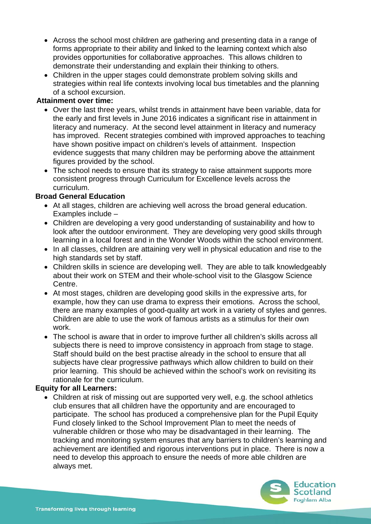- Across the school most children are gathering and presenting data in a range of forms appropriate to their ability and linked to the learning context which also provides opportunities for collaborative approaches. This allows children to demonstrate their understanding and explain their thinking to others.
- Children in the upper stages could demonstrate problem solving skills and strategies within real life contexts involving local bus timetables and the planning of a school excursion.

#### **Attainment over time:**

- Over the last three years, whilst trends in attainment have been variable, data for the early and first levels in June 2016 indicates a significant rise in attainment in literacy and numeracy. At the second level attainment in literacy and numeracy has improved. Recent strategies combined with improved approaches to teaching have shown positive impact on children's levels of attainment. Inspection evidence suggests that many children may be performing above the attainment figures provided by the school.
- The school needs to ensure that its strategy to raise attainment supports more consistent progress through Curriculum for Excellence levels across the curriculum.

#### **Broad General Education**

- At all stages, children are achieving well across the broad general education. Examples include –
- Children are developing a very good understanding of sustainability and how to look after the outdoor environment. They are developing very good skills through learning in a local forest and in the Wonder Woods within the school environment.
- In all classes, children are attaining very well in physical education and rise to the high standards set by staff.
- Children skills in science are developing well. They are able to talk knowledgeably about their work on STEM and their whole-school visit to the Glasgow Science Centre.
- At most stages, children are developing good skills in the expressive arts, for example, how they can use drama to express their emotions. Across the school, there are many examples of good-quality art work in a variety of styles and genres. Children are able to use the work of famous artists as a stimulus for their own work.
- The school is aware that in order to improve further all children's skills across all subjects there is need to improve consistency in approach from stage to stage. Staff should build on the best practise already in the school to ensure that all subjects have clear progressive pathways which allow children to build on their prior learning. This should be achieved within the school's work on revisiting its rationale for the curriculum.

#### **Equity for all Learners:**

 Children at risk of missing out are supported very well, e.g. the school athletics club ensures that all children have the opportunity and are encouraged to participate. The school has produced a comprehensive plan for the Pupil Equity Fund closely linked to the School Improvement Plan to meet the needs of vulnerable children or those who may be disadvantaged in their learning. The tracking and monitoring system ensures that any barriers to children's learning and achievement are identified and rigorous interventions put in place. There is now a need to develop this approach to ensure the needs of more able children are always met.

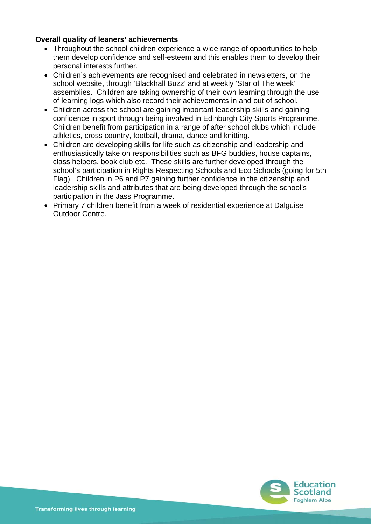#### **Overall quality of leaners' achievements**

- Throughout the school children experience a wide range of opportunities to help them develop confidence and self-esteem and this enables them to develop their personal interests further.
- Children's achievements are recognised and celebrated in newsletters, on the school website, through 'Blackhall Buzz' and at weekly 'Star of The week' assemblies. Children are taking ownership of their own learning through the use of learning logs which also record their achievements in and out of school.
- Children across the school are gaining important leadership skills and gaining confidence in sport through being involved in Edinburgh City Sports Programme. Children benefit from participation in a range of after school clubs which include athletics, cross country, football, drama, dance and knitting.
- Children are developing skills for life such as citizenship and leadership and enthusiastically take on responsibilities such as BFG buddies, house captains, class helpers, book club etc. These skills are further developed through the school's participation in Rights Respecting Schools and Eco Schools (going for 5th Flag). Children in P6 and P7 gaining further confidence in the citizenship and leadership skills and attributes that are being developed through the school's participation in the Jass Programme.
- Primary 7 children benefit from a week of residential experience at Dalguise Outdoor Centre.

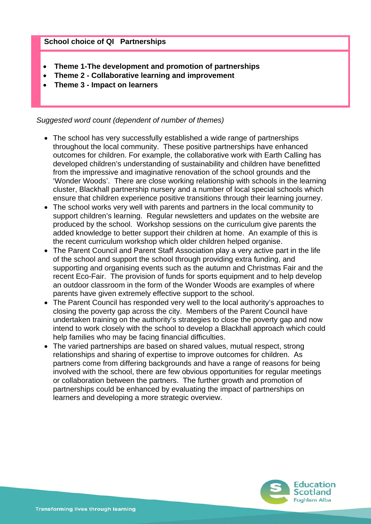#### **School choice of QI Partnerships**

- **Theme 1-The development and promotion of partnerships**
- **Theme 2 Collaborative learning and improvement**
- **Theme 3 Impact on learners**

*Suggested word count (dependent of number of themes)* 

- The school has very successfully established a wide range of partnerships throughout the local community. These positive partnerships have enhanced outcomes for children. For example, the collaborative work with Earth Calling has developed children's understanding of sustainability and children have benefitted from the impressive and imaginative renovation of the school grounds and the 'Wonder Woods'. There are close working relationship with schools in the learning cluster, Blackhall partnership nursery and a number of local special schools which ensure that children experience positive transitions through their learning journey.
- The school works very well with parents and partners in the local community to support children's learning. Regular newsletters and updates on the website are produced by the school. Workshop sessions on the curriculum give parents the added knowledge to better support their children at home. An example of this is the recent curriculum workshop which older children helped organise.
- The Parent Council and Parent Staff Association play a very active part in the life of the school and support the school through providing extra funding, and supporting and organising events such as the autumn and Christmas Fair and the recent Eco-Fair. The provision of funds for sports equipment and to help develop an outdoor classroom in the form of the Wonder Woods are examples of where parents have given extremely effective support to the school.
- The Parent Council has responded very well to the local authority's approaches to closing the poverty gap across the city. Members of the Parent Council have undertaken training on the authority's strategies to close the poverty gap and now intend to work closely with the school to develop a Blackhall approach which could help families who may be facing financial difficulties.
- The varied partnerships are based on shared values, mutual respect, strong relationships and sharing of expertise to improve outcomes for children. As partners come from differing backgrounds and have a range of reasons for being involved with the school, there are few obvious opportunities for regular meetings or collaboration between the partners. The further growth and promotion of partnerships could be enhanced by evaluating the impact of partnerships on learners and developing a more strategic overview.

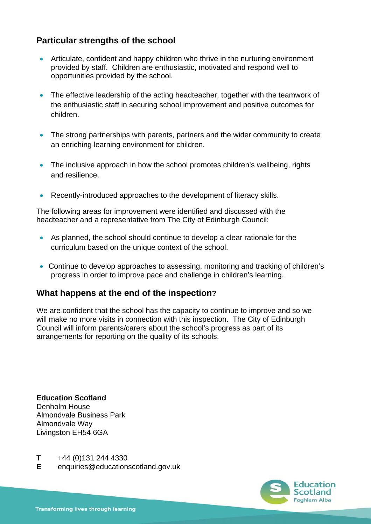# **Particular strengths of the school**

- Articulate, confident and happy children who thrive in the nurturing environment provided by staff. Children are enthusiastic, motivated and respond well to opportunities provided by the school.
- The effective leadership of the acting headteacher, together with the teamwork of the enthusiastic staff in securing school improvement and positive outcomes for children.
- The strong partnerships with parents, partners and the wider community to create an enriching learning environment for children.
- The inclusive approach in how the school promotes children's wellbeing, rights and resilience.
- Recently-introduced approaches to the development of literacy skills.

The following areas for improvement were identified and discussed with the headteacher and a representative from The City of Edinburgh Council:

- As planned, the school should continue to develop a clear rationale for the curriculum based on the unique context of the school.
- Continue to develop approaches to assessing, monitoring and tracking of children's progress in order to improve pace and challenge in children's learning.

### **What happens at the end of the inspection?**

We are confident that the school has the capacity to continue to improve and so we will make no more visits in connection with this inspection. The City of Edinburgh Council will inform parents/carers about the school's progress as part of its arrangements for reporting on the quality of its schools.

**Education Scotland**  Denholm House Almondvale Business Park Almondvale Way Livingston EH54 6GA

- **T** +44 (0)131 244 4330
- **E** enquiries@educationscotland.gov.uk

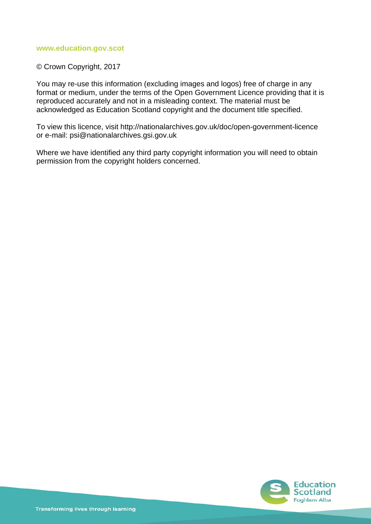#### **www.education.gov.scot**

#### © Crown Copyright, 2017

You may re-use this information (excluding images and logos) free of charge in any format or medium, under the terms of the Open Government Licence providing that it is reproduced accurately and not in a misleading context. The material must be acknowledged as Education Scotland copyright and the document title specified.

To view this licence, visit http://nationalarchives.gov.uk/doc/open-government-licence or e-mail: psi@nationalarchives.gsi.gov.uk

Where we have identified any third party copyright information you will need to obtain permission from the copyright holders concerned.

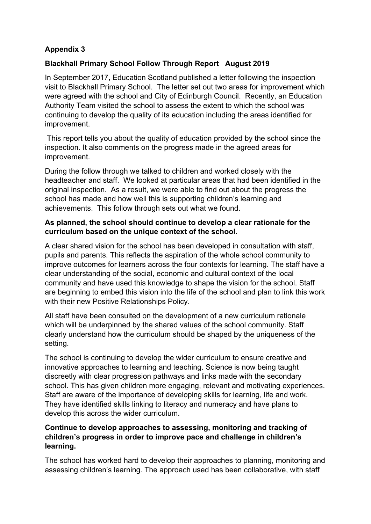# **Appendix 3**

## **Blackhall Primary School Follow Through Report August 2019**

In September 2017, Education Scotland published a letter following the inspection visit to Blackhall Primary School. The letter set out two areas for improvement which were agreed with the school and City of Edinburgh Council. Recently, an Education Authority Team visited the school to assess the extent to which the school was continuing to develop the quality of its education including the areas identified for improvement.

 This report tells you about the quality of education provided by the school since the inspection. It also comments on the progress made in the agreed areas for improvement.

During the follow through we talked to children and worked closely with the headteacher and staff. We looked at particular areas that had been identified in the original inspection. As a result, we were able to find out about the progress the school has made and how well this is supporting children's learning and achievements. This follow through sets out what we found.

### **As planned, the school should continue to develop a clear rationale for the curriculum based on the unique context of the school.**

A clear shared vision for the school has been developed in consultation with staff, pupils and parents. This reflects the aspiration of the whole school community to improve outcomes for learners across the four contexts for learning. The staff have a clear understanding of the social, economic and cultural context of the local community and have used this knowledge to shape the vision for the school. Staff are beginning to embed this vision into the life of the school and plan to link this work with their new Positive Relationships Policy.

All staff have been consulted on the development of a new curriculum rationale which will be underpinned by the shared values of the school community. Staff clearly understand how the curriculum should be shaped by the uniqueness of the setting.

The school is continuing to develop the wider curriculum to ensure creative and innovative approaches to learning and teaching. Science is now being taught discreetly with clear progression pathways and links made with the secondary school. This has given children more engaging, relevant and motivating experiences. Staff are aware of the importance of developing skills for learning, life and work. They have identified skills linking to literacy and numeracy and have plans to develop this across the wider curriculum.

## **Continue to develop approaches to assessing, monitoring and tracking of children's progress in order to improve pace and challenge in children's learning.**

The school has worked hard to develop their approaches to planning, monitoring and assessing children's learning. The approach used has been collaborative, with staff